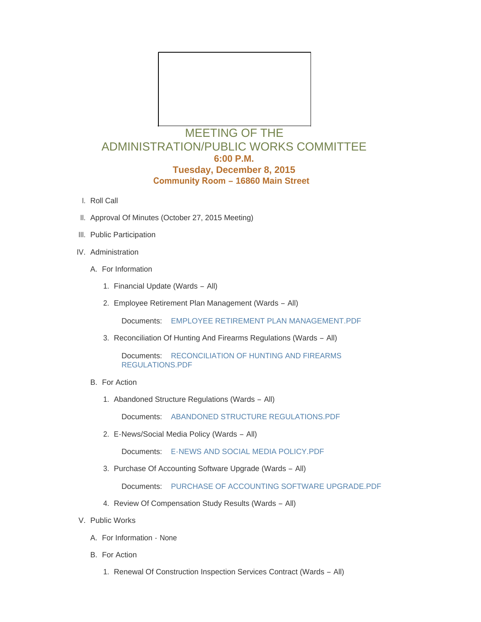

## ADMINISTRATION/PUBLIC WORKS COMMITTEE **6:00 P.M. Tuesday, December 8, 2015 Community Room – 16860 Main Street**

- l. Roll Call
- II. Approval Of Minutes (October 27, 2015 Meeting)
- III. Public Participation
- IV. Administration
	- A. For Information
		- 1. Financial Update (Wards All)
		- 2. Employee Retirement Plan Management (Wards All)

Documents: [EMPLOYEE RETIREMENT PLAN MANAGEMENT.PDF](http://mo-wildwood.civicplus.com/AgendaCenter/ViewFile/Item/5512?fileID=8097)

3. Reconciliation Of Hunting And Firearms Regulations (Wards - All)

Documents: RECONCILIATION OF HUNTING AND FIREARMS REGULATIONS.PDF

- B. For Action
	- 1. Abandoned Structure Regulations (Wards All)

Documents: [ABANDONED STRUCTURE REGULATIONS.PDF](http://mo-wildwood.civicplus.com/AgendaCenter/ViewFile/Item/5515?fileID=8096)

E-News/Social Media Policy (Wards – All) 2.

Documents: [E-NEWS AND SOCIAL MEDIA POLICY.PDF](http://mo-wildwood.civicplus.com/AgendaCenter/ViewFile/Item/5516?fileID=8098)

3. Purchase Of Accounting Software Upgrade (Wards - All)

Documents: [PURCHASE OF ACCOUNTING SOFTWARE UPGRADE.PDF](http://mo-wildwood.civicplus.com/AgendaCenter/ViewFile/Item/5517?fileID=8099)

- 4. Review Of Compensation Study Results (Wards All)
- V. Public Works
	- A. For Information None
	- B. For Action
		- 1. Renewal Of Construction Inspection Services Contract (Wards All)